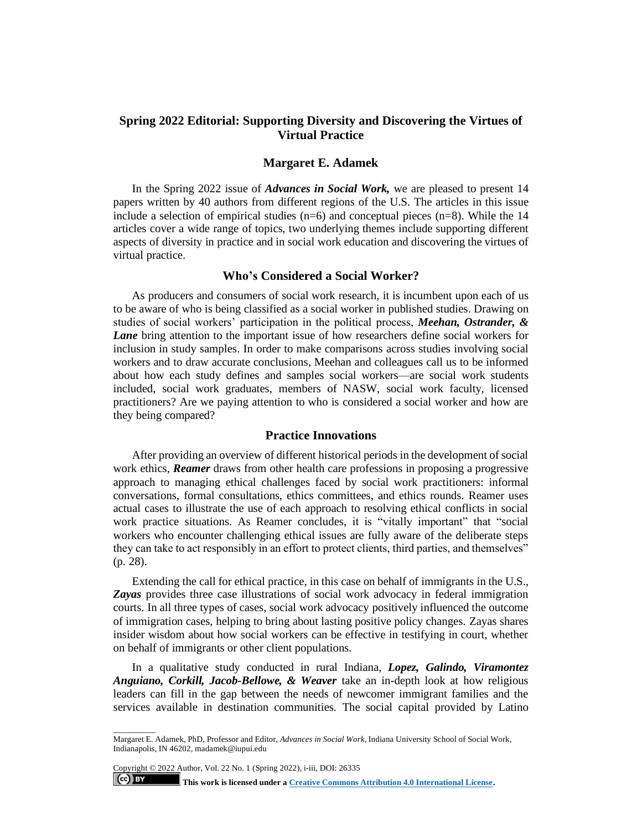# **Spring 2022 Editorial: Supporting Diversity and Discovering the Virtues of Virtual Practice**

## **Margaret E. Adamek**

In the Spring 2022 issue of *Advances in Social Work,* we are pleased to present 14 papers written by 40 authors from different regions of the U.S. The articles in this issue include a selection of empirical studies  $(n=6)$  and conceptual pieces  $(n=8)$ . While the 14 articles cover a wide range of topics, two underlying themes include supporting different aspects of diversity in practice and in social work education and discovering the virtues of virtual practice.

## **Who's Considered a Social Worker?**

As producers and consumers of social work research, it is incumbent upon each of us to be aware of who is being classified as a social worker in published studies. Drawing on studies of social workers' participation in the political process, *Meehan, Ostrander, & Lane* bring attention to the important issue of how researchers define social workers for inclusion in study samples. In order to make comparisons across studies involving social workers and to draw accurate conclusions, Meehan and colleagues call us to be informed about how each study defines and samples social workers—are social work students included, social work graduates, members of NASW, social work faculty, licensed practitioners? Are we paying attention to who is considered a social worker and how are they being compared?

## **Practice Innovations**

After providing an overview of different historical periods in the development of social work ethics, *Reamer* draws from other health care professions in proposing a progressive approach to managing ethical challenges faced by social work practitioners: informal conversations, formal consultations, ethics committees, and ethics rounds. Reamer uses actual cases to illustrate the use of each approach to resolving ethical conflicts in social work practice situations. As Reamer concludes, it is "vitally important" that "social workers who encounter challenging ethical issues are fully aware of the deliberate steps they can take to act responsibly in an effort to protect clients, third parties, and themselves" (p. 28).

Extending the call for ethical practice, in this case on behalf of immigrants in the U.S., Zayas provides three case illustrations of social work advocacy in federal immigration courts. In all three types of cases, social work advocacy positively influenced the outcome of immigration cases, helping to bring about lasting positive policy changes. Zayas shares insider wisdom about how social workers can be effective in testifying in court, whether on behalf of immigrants or other client populations.

In a qualitative study conducted in rural Indiana, *Lopez, Galindo, Viramontez Anguiano, Corkill, Jacob-Bellowe, & Weaver* take an in-depth look at how religious leaders can fill in the gap between the needs of newcomer immigrant families and the services available in destination communities. The social capital provided by Latino

\_\_\_\_\_\_\_\_\_\_

(cc) BY

Margaret E. Adamek, PhD, Professor and Editor, *Advances in Social Work*, Indiana University School of Social Work, Indianapolis, IN 46202, madamek@iupui.edu

Copyright © 2022 Author, Vol. 22 No. 1 (Spring 2022), i-iii, DOI: 26335

**This work is licensed under a [Creative Commons Attribution 4.0 International License.](https://creativecommons.org/licenses/by/4.0/)**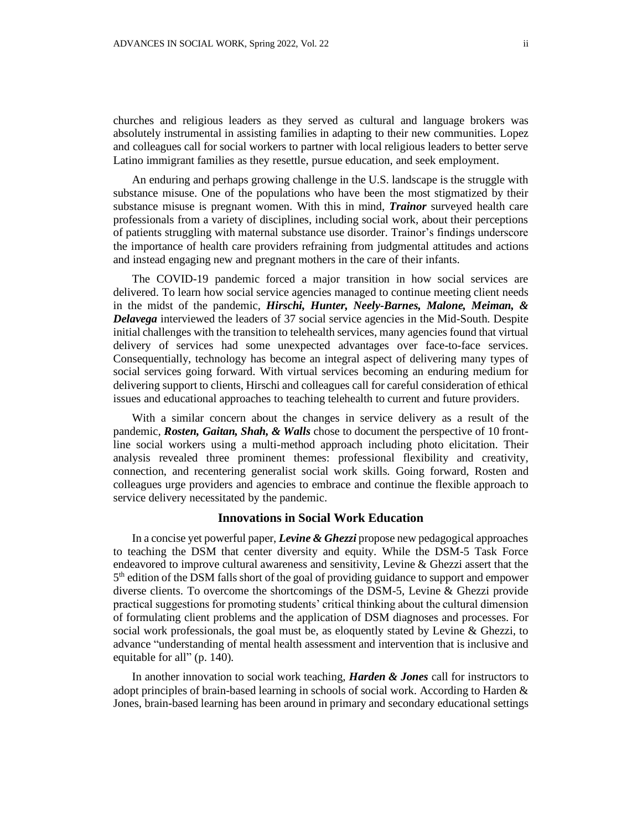churches and religious leaders as they served as cultural and language brokers was absolutely instrumental in assisting families in adapting to their new communities. Lopez and colleagues call for social workers to partner with local religious leaders to better serve Latino immigrant families as they resettle, pursue education, and seek employment.

An enduring and perhaps growing challenge in the U.S. landscape is the struggle with substance misuse. One of the populations who have been the most stigmatized by their substance misuse is pregnant women. With this in mind, *Trainor* surveyed health care professionals from a variety of disciplines, including social work, about their perceptions of patients struggling with maternal substance use disorder. Trainor's findings underscore the importance of health care providers refraining from judgmental attitudes and actions and instead engaging new and pregnant mothers in the care of their infants.

The COVID-19 pandemic forced a major transition in how social services are delivered. To learn how social service agencies managed to continue meeting client needs in the midst of the pandemic, *Hirschi, Hunter, Neely-Barnes, Malone, Meiman, & Delavega* interviewed the leaders of 37 social service agencies in the Mid-South. Despite initial challenges with the transition to telehealth services, many agencies found that virtual delivery of services had some unexpected advantages over face-to-face services. Consequentially, technology has become an integral aspect of delivering many types of social services going forward. With virtual services becoming an enduring medium for delivering support to clients, Hirschi and colleagues call for careful consideration of ethical issues and educational approaches to teaching telehealth to current and future providers.

With a similar concern about the changes in service delivery as a result of the pandemic, *Rosten, Gaitan, Shah, & Walls* chose to document the perspective of 10 frontline social workers using a multi-method approach including photo elicitation. Their analysis revealed three prominent themes: professional flexibility and creativity, connection, and recentering generalist social work skills. Going forward, Rosten and colleagues urge providers and agencies to embrace and continue the flexible approach to service delivery necessitated by the pandemic.

#### **Innovations in Social Work Education**

In a concise yet powerful paper, *Levine & Ghezzi* propose new pedagogical approaches to teaching the DSM that center diversity and equity. While the DSM-5 Task Force endeavored to improve cultural awareness and sensitivity, Levine & Ghezzi assert that the 5<sup>th</sup> edition of the DSM falls short of the goal of providing guidance to support and empower diverse clients. To overcome the shortcomings of the DSM-5, Levine & Ghezzi provide practical suggestions for promoting students' critical thinking about the cultural dimension of formulating client problems and the application of DSM diagnoses and processes. For social work professionals, the goal must be, as eloquently stated by Levine  $\&$  Ghezzi, to advance "understanding of mental health assessment and intervention that is inclusive and equitable for all" (p. 140).

In another innovation to social work teaching, *Harden & Jones* call for instructors to adopt principles of brain-based learning in schools of social work. According to Harden & Jones, brain-based learning has been around in primary and secondary educational settings